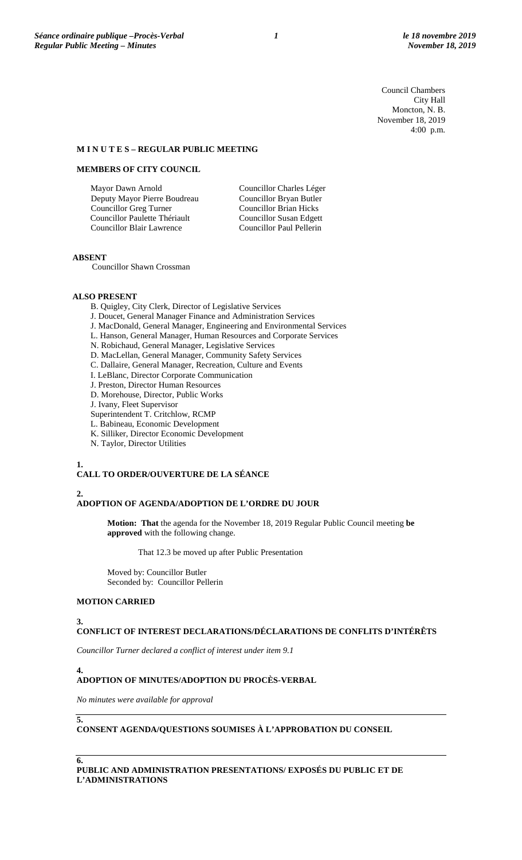Council Chambers City Hall Moncton, N. B. November 18, 2019 4:00 p.m.

#### **M I N U T E S – REGULAR PUBLIC MEETING**

## **MEMBERS OF CITY COUNCIL**

Mayor Dawn Arnold Deputy Mayor Pierre Boudreau Councillor Greg Turner Councillor Paulette Thériault Councillor Blair Lawrence

Councillor Charles Léger Councillor Bryan Butler Councillor Brian Hicks Councillor Susan Edgett Councillor Paul Pellerin

#### **ABSENT**

Councillor Shawn Crossman

#### **ALSO PRESENT**

- B. Quigley, City Clerk, Director of Legislative Services
- J. Doucet, General Manager Finance and Administration Services
- J. MacDonald, General Manager, Engineering and Environmental Services
- L. Hanson, General Manager, Human Resources and Corporate Services
- N. Robichaud, General Manager, Legislative Services
- D. MacLellan, General Manager, Community Safety Services
- C. Dallaire, General Manager, Recreation, Culture and Events
- I. LeBlanc, Director Corporate Communication
- J. Preston, Director Human Resources
- D. Morehouse, Director, Public Works
- J. Ivany, Fleet Supervisor
- Superintendent T. Critchlow, RCMP
- L. Babineau, Economic Development
- K. Silliker, Director Economic Development
- N. Taylor, Director Utilities

#### **1.**

#### **CALL TO ORDER/OUVERTURE DE LA SÉANCE**

#### **2. ADOPTION OF AGENDA/ADOPTION DE L'ORDRE DU JOUR**

**Motion: That** the agenda for the November 18, 2019 Regular Public Council meeting **be approved** with the following change.

That 12.3 be moved up after Public Presentation

Moved by: Councillor Butler Seconded by: Councillor Pellerin

#### **MOTION CARRIED**

#### **3.**

#### **CONFLICT OF INTEREST DECLARATIONS/DÉCLARATIONS DE CONFLITS D'INTÉRÊTS**

*Councillor Turner declared a conflict of interest under item 9.1*

## **4.**

## **ADOPTION OF MINUTES/ADOPTION DU PROCÈS-VERBAL**

*No minutes were available for approval*

**5.**

**6.**

**CONSENT AGENDA/QUESTIONS SOUMISES À L'APPROBATION DU CONSEIL**

**PUBLIC AND ADMINISTRATION PRESENTATIONS/ EXPOSÉS DU PUBLIC ET DE L'ADMINISTRATIONS**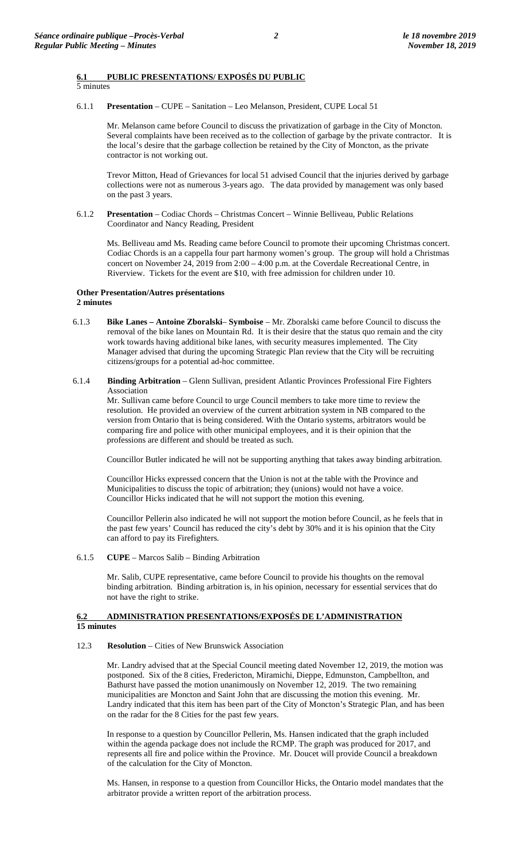## **6.1 PUBLIC PRESENTATIONS/ EXPOSÉS DU PUBLIC**

## 5 minutes

6.1.1 **Presentation** – CUPE – Sanitation – Leo Melanson, President, CUPE Local 51

Mr. Melanson came before Council to discuss the privatization of garbage in the City of Moncton. Several complaints have been received as to the collection of garbage by the private contractor. It is the local's desire that the garbage collection be retained by the City of Moncton, as the private contractor is not working out.

Trevor Mitton, Head of Grievances for local 51 advised Council that the injuries derived by garbage collections were not as numerous 3-years ago. The data provided by management was only based on the past 3 years.

6.1.2 **Presentation** – Codiac Chords – Christmas Concert – Winnie Belliveau, Public Relations Coordinator and Nancy Reading, President

Ms. Belliveau amd Ms. Reading came before Council to promote their upcoming Christmas concert. Codiac Chords is an a cappella four part harmony women's group. The group will hold a Christmas concert on November 24, 2019 from 2:00 – 4:00 p.m. at the Coverdale Recreational Centre, in Riverview. Tickets for the event are \$10, with free admission for children under 10.

#### **Other Presentation/Autres présentations 2 minutes**

- 6.1.3 **Bike Lanes – Antoine Zboralski Symboise** Mr. Zboralski came before Council to discuss the removal of the bike lanes on Mountain Rd. It is their desire that the status quo remain and the city work towards having additional bike lanes, with security measures implemented. The City Manager advised that during the upcoming Strategic Plan review that the City will be recruiting citizens/groups for a potential ad-hoc committee.
- 6.1.4 **Binding Arbitration**  Glenn Sullivan, president Atlantic Provinces Professional Fire Fighters Association

Mr. Sullivan came before Council to urge Council members to take more time to review the resolution. He provided an overview of the current arbitration system in NB compared to the version from Ontario that is being considered. With the Ontario systems, arbitrators would be comparing fire and police with other municipal employees, and it is their opinion that the professions are different and should be treated as such.

Councillor Butler indicated he will not be supporting anything that takes away binding arbitration.

Councillor Hicks expressed concern that the Union is not at the table with the Province and Municipalities to discuss the topic of arbitration; they (unions) would not have a voice. Councillor Hicks indicated that he will not support the motion this evening.

Councillor Pellerin also indicated he will not support the motion before Council, as he feels that in the past few years' Council has reduced the city's debt by 30% and it is his opinion that the City can afford to pay its Firefighters.

6.1.5 **CUPE** – Marcos Salib – Binding Arbitration

Mr. Salib, CUPE representative, came before Council to provide his thoughts on the removal binding arbitration. Binding arbitration is, in his opinion, necessary for essential services that do not have the right to strike.

### **6.2 ADMINISTRATION PRESENTATIONS/EXPOSÉS DE L'ADMINISTRATION 15 minutes**

#### 12.3 **Resolution** – Cities of New Brunswick Association

Mr. Landry advised that at the Special Council meeting dated November 12, 2019, the motion was postponed. Six of the 8 cities, Fredericton, Miramichi, Dieppe, Edmunston, Campbellton, and Bathurst have passed the motion unanimously on November 12, 2019. The two remaining municipalities are Moncton and Saint John that are discussing the motion this evening. Mr. Landry indicated that this item has been part of the City of Moncton's Strategic Plan, and has been on the radar for the 8 Cities for the past few years.

In response to a question by Councillor Pellerin, Ms. Hansen indicated that the graph included within the agenda package does not include the RCMP. The graph was produced for 2017, and represents all fire and police within the Province. Mr. Doucet will provide Council a breakdown of the calculation for the City of Moncton.

Ms. Hansen, in response to a question from Councillor Hicks, the Ontario model mandates that the arbitrator provide a written report of the arbitration process.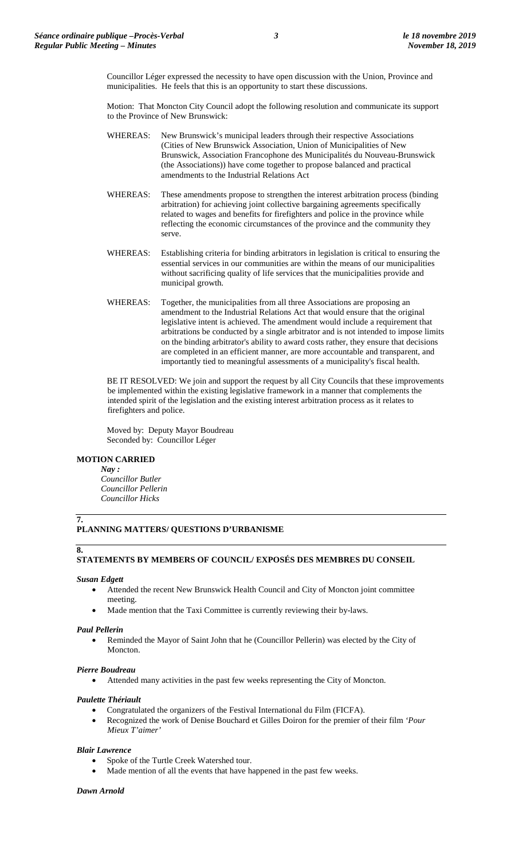Councillor Léger expressed the necessity to have open discussion with the Union, Province and municipalities. He feels that this is an opportunity to start these discussions.

Motion: That Moncton City Council adopt the following resolution and communicate its support to the Province of New Brunswick:

- WHEREAS: New Brunswick's municipal leaders through their respective Associations (Cities of New Brunswick Association, Union of Municipalities of New Brunswick, Association Francophone des Municipalités du Nouveau-Brunswick (the Associations)) have come together to propose balanced and practical amendments to the Industrial Relations Act
- WHEREAS: These amendments propose to strengthen the interest arbitration process (binding arbitration) for achieving joint collective bargaining agreements specifically related to wages and benefits for firefighters and police in the province while reflecting the economic circumstances of the province and the community they serve.
- WHEREAS: Establishing criteria for binding arbitrators in legislation is critical to ensuring the essential services in our communities are within the means of our municipalities without sacrificing quality of life services that the municipalities provide and municipal growth.
- WHEREAS: Together, the municipalities from all three Associations are proposing an amendment to the Industrial Relations Act that would ensure that the original legislative intent is achieved. The amendment would include a requirement that arbitrations be conducted by a single arbitrator and is not intended to impose limits on the binding arbitrator's ability to award costs rather, they ensure that decisions are completed in an efficient manner, are more accountable and transparent, and importantly tied to meaningful assessments of a municipality's fiscal health.

BE IT RESOLVED: We join and support the request by all City Councils that these improvements be implemented within the existing legislative framework in a manner that complements the intended spirit of the legislation and the existing interest arbitration process as it relates to firefighters and police.

Moved by: Deputy Mayor Boudreau Seconded by: Councillor Léger

## **MOTION CARRIED**

*Nay : Councillor Butler Councillor Pellerin Councillor Hicks*

## **7.**

## **PLANNING MATTERS/ QUESTIONS D'URBANISME**

#### **8.**

## **STATEMENTS BY MEMBERS OF COUNCIL/ EXPOSÉS DES MEMBRES DU CONSEIL**

#### *Susan Edgett*

- Attended the recent New Brunswick Health Council and City of Moncton joint committee meeting.
- Made mention that the Taxi Committee is currently reviewing their by-laws.

#### *Paul Pellerin*

• Reminded the Mayor of Saint John that he (Councillor Pellerin) was elected by the City of Moncton.

#### *Pierre Boudreau*

Attended many activities in the past few weeks representing the City of Moncton.

#### *Paulette Thériault*

- Congratulated the organizers of the Festival International du Film (FICFA).
- Recognized the work of Denise Bouchard et Gilles Doiron for the premier of their film *'Pour Mieux T'aimer'*

#### *Blair Lawrence*

- Spoke of the Turtle Creek Watershed tour.
- Made mention of all the events that have happened in the past few weeks.

#### *Dawn Arnold*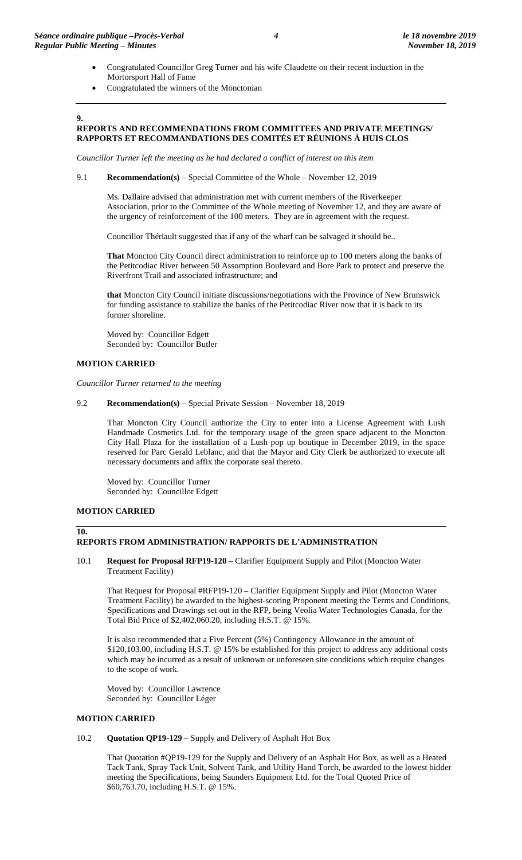- Congratulated Councillor Greg Turner and his wife Claudette on their recent induction in the Mortorsport Hall of Fame
- Congratulated the winners of the Monctonian

## **9.**

## **REPORTS AND RECOMMENDATIONS FROM COMMITTEES AND PRIVATE MEETINGS/ RAPPORTS ET RECOMMANDATIONS DES COMITÉS ET RÉUNIONS À HUIS CLOS**

*Councillor Turner left the meeting as he had declared a conflict of interest on this item*

#### 9.1 **Recommendation(s)** – Special Committee of the Whole – November 12, 2019

Ms. Dallaire advised that administration met with current members of the Riverkeeper Association, prior to the Committee of the Whole meeting of November 12, and they are aware of the urgency of reinforcement of the 100 meters. They are in agreement with the request.

Councillor Thériault suggested that if any of the wharf can be salvaged it should be..

**That** Moncton City Council direct administration to reinforce up to 100 meters along the banks of the Petitcodiac River between 50 Assomption Boulevard and Bore Park to protect and preserve the Riverfront Trail and associated infrastructure; and

**that** Moncton City Council initiate discussions/negotiations with the Province of New Brunswick for funding assistance to stabilize the banks of the Petitcodiac River now that it is back to its former shoreline.

Moved by: Councillor Edgett Seconded by: Councillor Butler

### **MOTION CARRIED**

*Councillor Turner returned to the meeting*

9.2 **Recommendation(s)** – Special Private Session – November 18, 2019

That Moncton City Council authorize the City to enter into a License Agreement with Lush Handmade Cosmetics Ltd. for the temporary usage of the green space adjacent to the Moncton City Hall Plaza for the installation of a Lush pop up boutique in December 2019, in the space reserved for Parc Gerald Leblanc, and that the Mayor and City Clerk be authorized to execute all necessary documents and affix the corporate seal thereto.

Moved by: Councillor Turner Seconded by: Councillor Edgett

## **MOTION CARRIED**

**10.**

## **REPORTS FROM ADMINISTRATION/ RAPPORTS DE L'ADMINISTRATION**

10.1 **Request for Proposal RFP19-120** – Clarifier Equipment Supply and Pilot (Moncton Water Treatment Facility)

That Request for Proposal #RFP19-120 – Clarifier Equipment Supply and Pilot (Moncton Water Treatment Facility) be awarded to the highest-scoring Proponent meeting the Terms and Conditions, Specifications and Drawings set out in the RFP, being Veolia Water Technologies Canada, for the Total Bid Price of \$2,402,060.20, including H.S.T. @ 15%.

It is also recommended that a Five Percent (5%) Contingency Allowance in the amount of \$120,103.00, including H.S.T. @ 15% be established for this project to address any additional costs which may be incurred as a result of unknown or unforeseen site conditions which require changes to the scope of work.

Moved by: Councillor Lawrence Seconded by: Councillor Léger

#### **MOTION CARRIED**

#### 10.2 **Quotation QP19-129** – Supply and Delivery of Asphalt Hot Box

That Quotation #QP19-129 for the Supply and Delivery of an Asphalt Hot Box, as well as a Heated Tack Tank, Spray Tack Unit, Solvent Tank, and Utility Hand Torch, be awarded to the lowest bidder meeting the Specifications, being Saunders Equipment Ltd. for the Total Quoted Price of \$60,763.70, including H.S.T. @ 15%.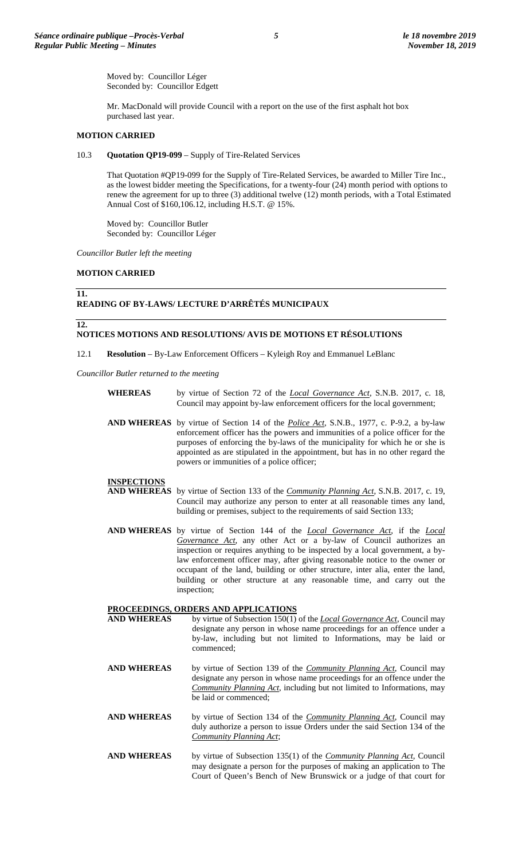Moved by: Councillor Léger Seconded by: Councillor Edgett

Mr. MacDonald will provide Council with a report on the use of the first asphalt hot box purchased last year.

#### **MOTION CARRIED**

10.3 **Quotation QP19-099** – Supply of Tire-Related Services

That Quotation #QP19-099 for the Supply of Tire-Related Services, be awarded to Miller Tire Inc., as the lowest bidder meeting the Specifications, for a twenty-four (24) month period with options to renew the agreement for up to three (3) additional twelve (12) month periods, with a Total Estimated Annual Cost of \$160,106.12, including H.S.T. @ 15%.

Moved by: Councillor Butler Seconded by: Councillor Léger

*Councillor Butler left the meeting*

#### **MOTION CARRIED**

#### **11.**

#### **READING OF BY-LAWS/ LECTURE D'ARRÊTÉS MUNICIPAUX**

#### **12.**

## **NOTICES MOTIONS AND RESOLUTIONS/ AVIS DE MOTIONS ET RÉSOLUTIONS**

12.1 **Resolution** – By-Law Enforcement Officers – Kyleigh Roy and Emmanuel LeBlanc

*Councillor Butler returned to the meeting*

- **WHEREAS** by virtue of Section 72 of the *Local Governance Act*, S.N.B. 2017, c. 18, Council may appoint by-law enforcement officers for the local government;
- **AND WHEREAS** by virtue of Section 14 of the *Police Act*, S.N.B., 1977, c. P-9.2, a by-law enforcement officer has the powers and immunities of a police officer for the purposes of enforcing the by-laws of the municipality for which he or she is appointed as are stipulated in the appointment, but has in no other regard the powers or immunities of a police officer;

#### **INSPECTIONS**

- **AND WHEREAS** by virtue of Section 133 of the *Community Planning Act*, S.N.B. 2017, c. 19, Council may authorize any person to enter at all reasonable times any land, building or premises, subject to the requirements of said Section 133;
- **AND WHEREAS** by virtue of Section 144 of the *Local Governance Act*, if the *Local Governance Act,* any other Act or a by-law of Council authorizes an inspection or requires anything to be inspected by a local government, a bylaw enforcement officer may, after giving reasonable notice to the owner or occupant of the land, building or other structure, inter alia, enter the land, building or other structure at any reasonable time, and carry out the inspection;

# **PROCEEDINGS, ORDERS AND APPLICATIONS**<br>**AND WHEREAS** by virtue of Subsection 150(1)

- by virtue of Subsection 150(1) of the *Local Governance Act*, Council may designate any person in whose name proceedings for an offence under a by-law, including but not limited to Informations, may be laid or commenced;
- **AND WHEREAS** by virtue of Section 139 of the *Community Planning Act*, Council may designate any person in whose name proceedings for an offence under the *Community Planning Act*, including but not limited to Informations, may be laid or commenced;
- **AND WHEREAS** by virtue of Section 134 of the *Community Planning Act*, Council may duly authorize a person to issue Orders under the said Section 134 of the *Community Planning Act*;
- **AND WHEREAS** by virtue of Subsection 135(1) of the *Community Planning Act*, Council may designate a person for the purposes of making an application to The Court of Queen's Bench of New Brunswick or a judge of that court for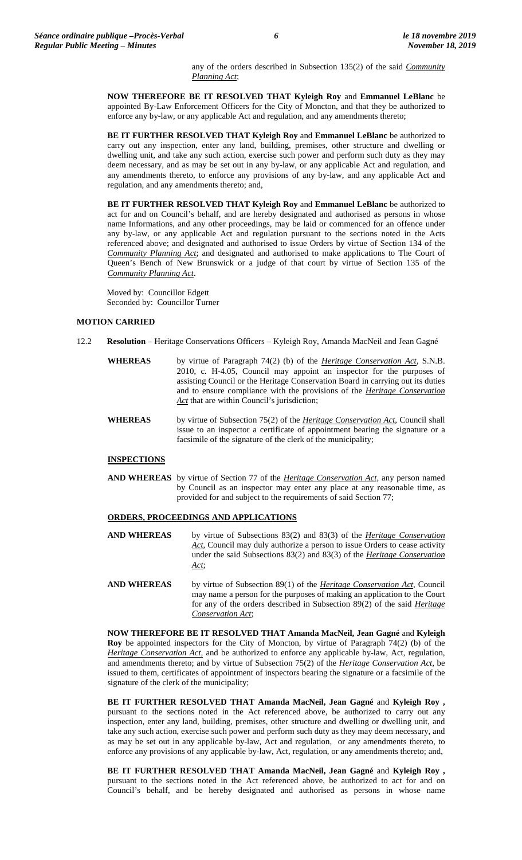any of the orders described in Subsection 135(2) of the said *Community Planning Act*;

**NOW THEREFORE BE IT RESOLVED THAT Kyleigh Roy** and **Emmanuel LeBlanc** be appointed By-Law Enforcement Officers for the City of Moncton, and that they be authorized to enforce any by-law, or any applicable Act and regulation, and any amendments thereto;

**BE IT FURTHER RESOLVED THAT Kyleigh Roy** and **Emmanuel LeBlanc** be authorized to carry out any inspection, enter any land, building, premises, other structure and dwelling or dwelling unit, and take any such action, exercise such power and perform such duty as they may deem necessary, and as may be set out in any by-law, or any applicable Act and regulation, and any amendments thereto, to enforce any provisions of any by-law, and any applicable Act and regulation, and any amendments thereto; and,

**BE IT FURTHER RESOLVED THAT Kyleigh Roy** and **Emmanuel LeBlanc** be authorized to act for and on Council's behalf, and are hereby designated and authorised as persons in whose name Informations, and any other proceedings, may be laid or commenced for an offence under any by-law, or any applicable Act and regulation pursuant to the sections noted in the Acts referenced above; and designated and authorised to issue Orders by virtue of Section 134 of the *Community Planning Act*; and designated and authorised to make applications to The Court of Queen's Bench of New Brunswick or a judge of that court by virtue of Section 135 of the *Community Planning Act*.

Moved by: Councillor Edgett Seconded by: Councillor Turner

#### **MOTION CARRIED**

- 12.2 **Resolution** Heritage Conservations Officers Kyleigh Roy, Amanda MacNeil and Jean Gagné
	- **WHEREAS** by virtue of Paragraph 74(2) (b) of the *Heritage Conservation Act*, S.N.B. 2010, c. H-4.05, Council may appoint an inspector for the purposes of assisting Council or the Heritage Conservation Board in carrying out its duties and to ensure compliance with the provisions of the *Heritage Conservation*  Act that are within Council's jurisdiction;
	- **WHEREAS** by virtue of Subsection 75(2) of the *Heritage Conservation Act*, Council shall issue to an inspector a certificate of appointment bearing the signature or a facsimile of the signature of the clerk of the municipality;

#### **INSPECTIONS**

**AND WHEREAS** by virtue of Section 77 of the *Heritage Conservation Act*, any person named by Council as an inspector may enter any place at any reasonable time, as provided for and subject to the requirements of said Section 77;

#### **ORDERS, PROCEEDINGS AND APPLICATIONS**

- **AND WHEREAS** by virtue of Subsections 83(2) and 83(3) of the *Heritage Conservation*  Act, Council may duly authorize a person to issue Orders to cease activity under the said Subsections 83(2) and 83(3) of the *Heritage Conservation Act*;
- **AND WHEREAS** by virtue of Subsection 89(1) of the *Heritage Conservation Act*, Council may name a person for the purposes of making an application to the Court for any of the orders described in Subsection 89(2) of the said *Heritage Conservation Act*;

**NOW THEREFORE BE IT RESOLVED THAT Amanda MacNeil, Jean Gagné** and **Kyleigh Roy** be appointed inspectors for the City of Moncton, by virtue of Paragraph 74(2) (b) of the *Heritage Conservation Act,* and be authorized to enforce any applicable by-law, Act, regulation, and amendments thereto; and by virtue of Subsection 75(2) of the *Heritage Conservation Act*, be issued to them, certificates of appointment of inspectors bearing the signature or a facsimile of the signature of the clerk of the municipality;

**BE IT FURTHER RESOLVED THAT Amanda MacNeil, Jean Gagné** and **Kyleigh Roy ,**  pursuant to the sections noted in the Act referenced above, be authorized to carry out any inspection, enter any land, building, premises, other structure and dwelling or dwelling unit, and take any such action, exercise such power and perform such duty as they may deem necessary, and as may be set out in any applicable by-law, Act and regulation, or any amendments thereto, to enforce any provisions of any applicable by-law, Act, regulation, or any amendments thereto; and,

**BE IT FURTHER RESOLVED THAT Amanda MacNeil, Jean Gagné** and **Kyleigh Roy ,**  pursuant to the sections noted in the Act referenced above, be authorized to act for and on Council's behalf, and be hereby designated and authorised as persons in whose name